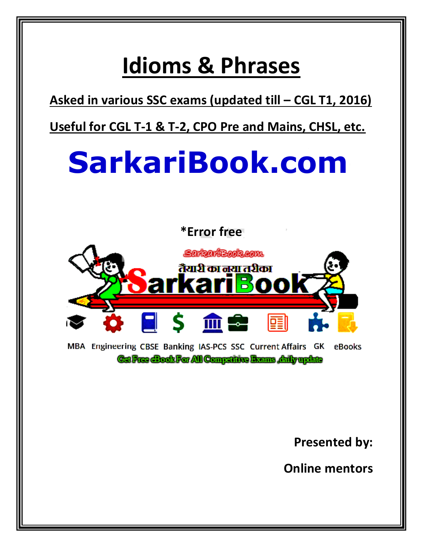**Asked in various SSC exams (updated till – CGL T1, 2016)**

**Useful for CGL T-1 & T-2, CPO Pre and Mains, CHSL, etc.**

# **SarkariBook.com**





MBA Engineering CBSE Banking IAS-PCS SSC Current Affairs GK eBooks **Gaffree Book For All Compatine Brams , daily update** 

**Presented by:**

**Online mentors**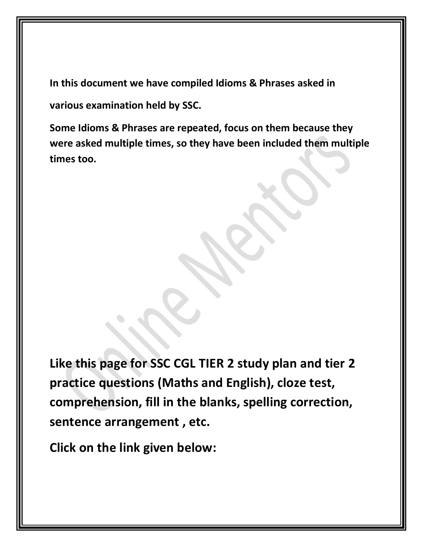**In this document we have compiled Idioms & Phrases asked in various examination held by SSC.**

**Some Idioms & Phrases are repeated, focus on them because they were asked multiple times, so they have been included them multiple times too.**

**Like this page for SSC CGL TIER 2 study plan and tier 2 practice questions (Maths and English), cloze test, comprehension, fill in the blanks, spelling correction, sentence arrangement , etc.**

**Click on the link given below:**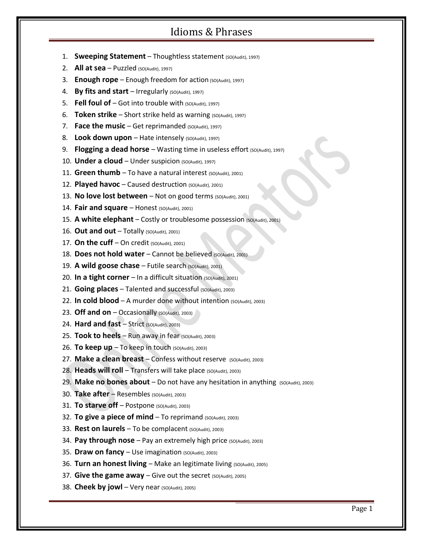- 1. **Sweeping Statement** Thoughtless statement (SO(Audit), 1997)
- 2. **All at sea**  $-$  Puzzled (SO(Audit), 1997)
- 3. **Enough rope** Enough freedom for action (SO(Audit), 1997)
- 4. **By fits and start** Irregularly (SO(Audit), 1997)
- 5. **Fell foul of**  $-$  Got into trouble with  $(SO(Audit), 1997)$
- 6. **Token strike** Short strike held as warning (SO(Audit), 1997)
- 7. **Face the music** Get reprimanded (SO(Audit), 1997)
- 8. Look down upon Hate intensely (SO(Audit), 1997)
- 9. **Flogging a dead horse** Wasting time in useless effort (SO(Audit), 1997)
- 10. **Under a cloud** Under suspicion (SO(Audit), 1997)
- 11. **Green thumb** To have a natural interest (SO(Audit), 2001)
- 12. **Played havoc** Caused destruction (SO(Audit), 2001)
- 13. No love lost between Not on good terms (SO(Audit), 2001)
- 14. **Fair and square** Honest (SO(Audit), 2001)
- 15. A white elephant Costly or troublesome possession (so(Audit), 2001)
- 16. **Out and out** Totally (SO(Audit), 2001)
- 17. **On the cuff** On credit  $(SO(Audit), 2001)$
- 18. **Does not hold water** Cannot be believed (SO(Audit), 2001)
- 19. **A wild goose chase** Futile search (SO(Audit), 2001)
- 20. **In a tight corner** In a difficult situation  $(SO(Au\text{d}it), 2001)$
- 21. **Going places** Talented and successful (SO(Audit), 2003)
- 22. **In cold blood** A murder done without intention (SO(Audit), 2003)
- 23. Off and on Occasionally (SO(Audit), 2003)
- 24. **Hard and fast** Strict (SO(Audit), 2003)
- 25. **Took to heels** Run away in fear (SO(Audit), 2003)
- 26. **To keep up**  $-$  To keep in touch ( $SO(Audit)$ , 2003)
- 27. Make a clean breast Confess without reserve (SO(Audit), 2003)
- 28. Heads will roll Transfers will take place (SO(Audit), 2003)
- 29. Make no bones about Do not have any hesitation in anything (SO(Audit), 2003)
- 30. **Take after** Resembles (SO(Audit), 2003)
- 31. **To starve off** Postpone (SO(Audit), 2003)
- 32. **To give a piece of mind** To reprimand (SO(Audit), 2003)
- 33. **Rest on laurels** To be complacent (SO(Audit), 2003)
- 34. Pay through nose Pay an extremely high price (SO(Audit), 2003)
- 35. **Draw on fancy** Use imagination (SO(Audit), 2003)
- 36. Turn an honest living Make an legitimate living (SO(Audit), 2005)
- 37. **Give the game away** Give out the secret (SO(Audit), 2005)
- 38. **Cheek by jowl** Very near (SO(Audit), 2005)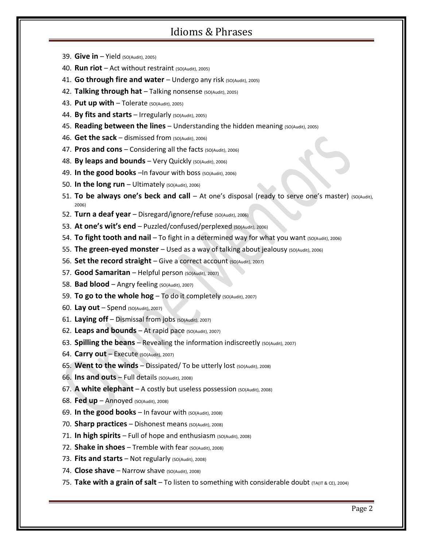- 39. **Give in** Yield (SO(Audit), 2005)
- 40. **Run riot** Act without restraint (SO(Audit), 2005)
- 41. **Go through fire and water** Undergo any risk (SO(Audit), 2005)
- 42. **Talking through hat** Talking nonsense (SO(Audit), 2005)
- 43. **Put up with** Tolerate (SO(Audit), 2005)
- 44. **By fits and starts** Irregularly (SO(Audit), 2005)
- 45. **Reading between the lines** Understanding the hidden meaning (SO(Audit), 2005)
- 46. **Get the sack** dismissed from (SO(Audit), 2006)
- 47. Pros and cons Considering all the facts (SO(Audit), 2006)
- 48. By leaps and bounds Very Quickly (SO(Audit), 2006)
- 49. **In the good books** –In favour with boss (SO(Audit), 2006)
- 50. In the long run Ultimately (SO(Audit), 2006)
- 51. **To be always one's beck and call** At one's disposal (ready to serve one's master) (SO(Audit), 2006)
- 52. Turn a deaf year Disregard/ignore/refuse (SO(Audit), 2006)
- 53. At one's wit's end Puzzled/confused/perplexed (SO(Audit), 2006)
- 54. **To fight tooth and nail** To fight in a determined way for what you want (SO(Audit), 2006)
- 55. **The green-eyed monster** Used as a way of talking about jealousy (SO(Audit), 2006)
- 56. Set the record straight Give a correct account (SO(Audit), 2007)
- 57. **Good Samaritan** Helpful person (SO(Audit), 2007)
- 58. **Bad blood** Angry feeling (SO(Audit), 2007)
- 59. **To go to the whole hog** To do it completely (SO(Audit), 2007)
- 60. **Lay out** Spend (SO(Audit), 2007)
- 61. Laying off Dismissal from jobs (SO(Audit), 2007)
- 62. Leaps and bounds At rapid pace (SO(Audit), 2007)
- 63. **Spilling the beans** Revealing the information indiscreetly (SO(Audit), 2007)
- 64. **Carry out** Execute (SO(Audit), 2007)
- 65. **Went to the winds** Dissipated/ To be utterly lost (SO(Audit), 2008)
- 66. **Ins and outs** Full details (SO(Audit), 2008)
- 67. A white elephant A costly but useless possession (SO(Audit), 2008)
- 68. **Fed up** Annoyed (SO(Audit), 2008)
- 69. In the good books In favour with (SO(Audit), 2008)
- 70. **Sharp practices** Dishonest means (SO(Audit), 2008)
- 71. **In high spirits** Full of hope and enthusiasm (so(Audit), 2008)
- 72. **Shake in shoes** Tremble with fear (SO(Audit), 2008)
- 73. Fits and starts Not regularly (SO(Audit), 2008)
- 74. **Close shave** Narrow shave (SO(Audit), 2008)
- 75. Take with a grain of salt To listen to something with considerable doubt (TA(IT & CE), 2004)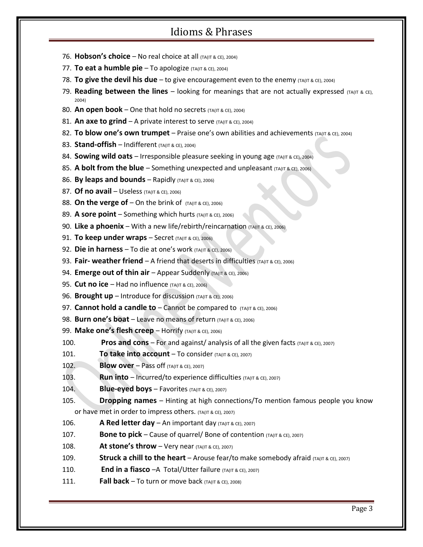- 76. **Hobson's choice** No real choice at all  $(TA(T R C))$  2004)
- 77. **To eat a humble pie** To apologize (TA(IT & CE), 2004)
- 78. **To give the devil his due** to give encouragement even to the enemy (TA(IT & CE), 2004)
- 79. **Reading between the lines**  $-$  looking for meanings that are not actually expressed  $(TA(T)$  & CE), 2004)
- 80. An open book One that hold no secrets (TA(IT & CE), 2004)
- 81. An axe to grind A private interest to serve (TA(IT & CE), 2004)
- 82. **To blow one's own trumpet** Praise one's own abilities and achievements (TA(IT & CE), 2004)
- 83. **Stand-offish** Indifferent (TA(IT & CE), 2004)
- 84. **Sowing wild oats** Irresponsible pleasure seeking in young age (TA(IT & CE), 2004)
- 85. **A bolt from the blue** Something unexpected and unpleasant (TA(IT & CE), 2006)
- 86. **By leaps and bounds** Rapidly (TA(IT & CE), 2006)
- 87. **Of no avail** Useless (TA(IT & CE), 2006)
- 88. **On the verge of**  $-$  On the brink of  $(TA)(T \& \text{CE})$ , 2006)
- 89. **A sore point** Something which hurts (TA(IT & CE), 2006)
- 90. **Like a phoenix** With a new life/rebirth/reincarnation (TA(IT & CE), 2006)
- 91. **To keep under wraps** Secret (TA(IT & CE), 2006)
- 92. **Die in harness** To die at one's work (TA(IT & CE), 2006)
- 93. **Fair- weather friend** A friend that deserts in difficulties (TA(IT & CE), 2006)
- 94. **Emerge out of thin air** Appear Suddenly (TA(IT & CE), 2006)
- 95. **Cut no ice** Had no influence (TA(IT & CE), 2006)
- 96. **Brought up** Introduce for discussion (TA(IT & CE), 2006)
- 97. **Cannot hold a candle to** Cannot be compared to (TA(IT & CE), 2006)
- 98. **Burn one's boat** Leave no means of return (TA(IT & CE), 2006)
- 99. **Make one's flesh creep** Horrify (TA(IT & CE), 2006)
- **100. Pros and cons** For and against/ analysis of all the given facts (TA(IT & CE), 2007)
- 101. **To take into account** To consider  $(TA)(TB)$  & CE), 2007)
- 102. **Blow over** Pass off (TA(IT & CE), 2007)
- 103. **Run into** Incurred/to experience difficulties (TA(IT & CE), 2007)
- 104. **Blue-eyed boys** Favorites  $(TA(TR) \times CE)$ , 2007)
- 105. **Dropping names** Hinting at high connections/To mention famous people you know or have met in order to impress others.  $(TA(TT R CC DZ))$
- 106. **A Red letter day** An important day  $(TA)(T \& CE), 2007)$
- 107. **Bone to pick** Cause of quarrel/ Bone of contention (TA(IT & CE), 2007)
- 108. **At stone's throw** Very near  $(TA(TR)Z=2007)$
- 109. **Struck a chill to the heart** Arouse fear/to make somebody afraid (TA(IT & CE), 2007)
- 110. **End in a fiasco** A Total/Utter failure (TA(IT & CE), 2007)
- 111. **Fall back** To turn or move back  $(TA(TR)Z)$  2008)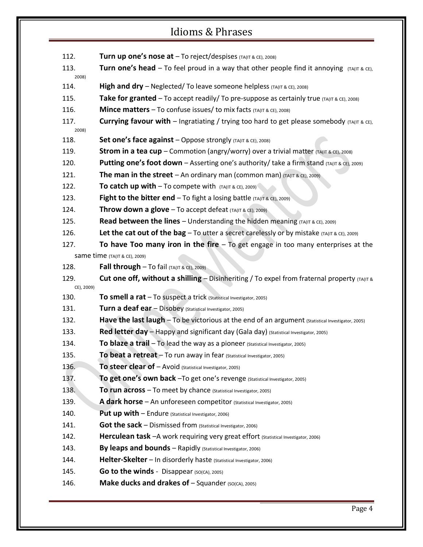112. **Turn up one's nose at** – To reject/despises (TA(IT & CE), 2008) 113. **Turn one's head** – To feel proud in a way that other people find it annoying  $(TA(T) \& \text{C})$ 2008) 114. **High and dry** – Neglected/ To leave someone helpless (TA(IT & CE), 2008) **115. Take for granted** – To accept readily/ To pre-suppose as certainly true (TA(IT & CE), 2008) 116. **Mince matters** – To confuse issues/ to mix facts (TA(IT & CE), 2008) 117. **Currying favour with** – Ingratiating / trying too hard to get please somebody  $(TA(TT & ECE))$ 2008) 118. **Set one's face against** – Oppose strongly (TA(IT & CE), 2008) 119. **Strom in a tea cup** – Commotion (angry/worry) over a trivial matter (TA(IT & CE), 2008) 120. **Putting one's foot down** – Asserting one's authority/ take a firm stand (TA(IT & CE), 2009) 121. **The man in the street** – An ordinary man (common man)  $(TA(T R C)Z)$ 122. **To catch up with**  $-$  To compete with  $(TA(T R C)Z)$ 123. **Fight to the bitter end**  $-$  To fight a losing battle  $(TA(T) \& CE)$ , 2009) 124. **Throw down a glove** – To accept defeat (TA(IT & CE), 2009) **125. Read between the lines** – Understanding the hidden meaning (TA(IT & CE), 2009) 126. **Let the cat out of the bag** – To utter a secret carelessly or by mistake  $(TA(TB \times CE), 2009)$ 127. **To have Too many iron in the fire** – To get engage in too many enterprises at the same time (TA(IT & CE), 2009) 128. **Fall through** – To fail  $(TA)(TB)$  ace), 2009) 129. **Cut one off, without a shilling** – Disinheriting / To expel from fraternal property (TA(IT & CE), 2009) 130. **To smell a rat** – To suspect a trick (Statistical Investigator, 2005) 131. **Turn a deaf ear** – Disobey (Statistical Investigator, 2005) 132. **Have the last laugh** – To be victorious at the end of an argument (Statistical Investigator, 2005) 133. **Red letter day** – Happy and significant day (Gala day) (Statistical Investigator, 2005) 134. **To blaze a trail** – To lead the way as a pioneer (Statistical Investigator, 2005) 135. **To beat a retreat** – To run away in fear (Statistical Investigator, 2005) 136. **To steer clear of** – Avoid (Statistical Investigator, 2005) 137. **To get one's own back** –To get one's revenge (Statistical Investigator, 2005) 138. **To run across** – To meet by chance (Statistical Investigator, 2005) 139. **A dark horse** – An unforeseen competitor (Statistical Investigator, 2005) 140. **Put up with** – Endure (Statistical Investigator, 2006) 141. **Got the sack** – Dismissed from (Statistical Investigator, 2006) 142. **Herculean task** – A work requiring very great effort (Statistical Investigator, 2006) 143. **By leaps and bounds** – Rapidly (Statistical Investigator, 2006) 144. **Helter-Skelter** – In disorderly haste (Statistical Investigator, 2006) 145. **Go to the winds** - Disappear (SO(CA), 2005) 146. **Make ducks and drakes of** – Squander (SO(CA), 2005)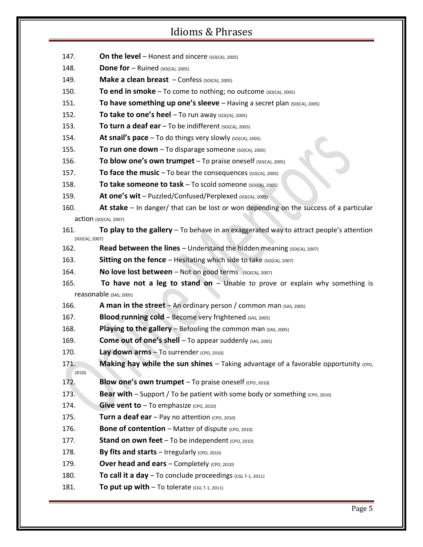- 147. **On the level** Honest and sincere  $(so(CA), 2005)$
- 148. **Done for** Ruined (SO(CA), 2005)
- 149. **Make a clean breast** Confess (SO(CA), 2005)
- 150. **To end in smoke** To come to nothing; no outcome (SO(CA), 2005)
- **151. To have something up one's sleeve** Having a secret plan (SO(CA), 2005)
- 152. **To take to one's heel** To run away (SO(CA), 2005)
- 153. **To turn a deaf ear** To be indifferent (SO(CA), 2005)
- 154. **At snail's pace** To do things very slowly (SO(CA), 2005)
- 155. **To run one down** To disparage someone  $(SO(CA), 2005)$
- 156. **To blow one's own trumpet** To praise oneself (SO(CA), 2005)
- 157. **To face the music** To bear the consequences (SO(CA), 2005)
- 158. **To take someone to task** To scold someone (SO(CA), 2005)
- 159. **At one's wit** Puzzled/Confused/Perplexed (SO(CA), 2005)
- 160. **At stake** In danger/ that can be lost or won depending on the success of a particular action (SO(CA), 2007)
- 161. **To play to the gallery** To behave in an exaggerated way to attract people's attention (SO(CA), 2007)
- 162. **Read between the lines** Understand the hidden meaning (SO(CA), 2007)
- 163. **Sitting on the fence** Hesitating which side to take (SO(CA), 2007)
- 164. **No love lost between** Not on good terms (SO(CA), 2007)
- 165. **To have not a leg to stand on** Unable to prove or explain why something is reasonable (SAS, 2005)
- 166. **A man in the street** An ordinary person / common man (SAS, 2005)
- 167. **Blood running cold** Become very frightened (SAS, 2005)
- 168. **Playing to the gallery** Befooling the common man (SAS, 2005)
- 169. **Come out of one's shell** To appear suddenly (SAS, 2005)
- 170. **Lay down arms** To surrender (CPO, 2010)
- 171. **Making hay while the sun shines** Taking advantage of a favorable opportunity (cpo, 2010)
- 172. **Blow one's own trumpet** To praise oneself (CPO, 2010)
- 173. **Bear with** Support / To be patient with some body or something (cpo, 2010)
- 174. **Give vent to** To emphasize (CPO, 2010)
- 175. **Turn a deaf ear** Pay no attention (CPO, 2010)
- 176. **Bone of contention** Matter of dispute (CPO, 2010)
- 177. **Stand on own feet** To be independent (CPO, 2010)
- 178. **By fits and starts** Irregularly (CPO, 2010)
- 179. **Over head and ears** Completely (CPO, 2010)
- 180. **To call it a day** To conclude proceedings (CGL T-1, 2011)
- 181. **To put up with**  $-$  To tolerate (CGL T-1, 2011)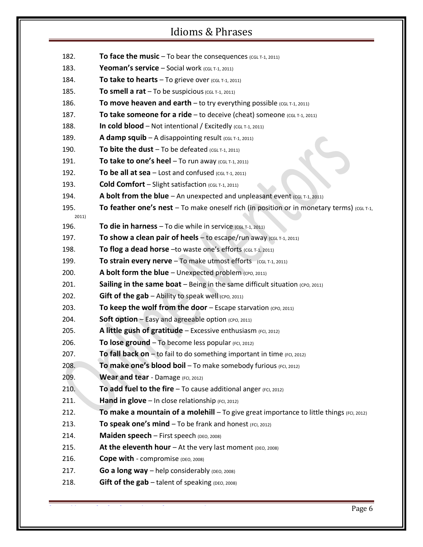| 182.          | To face the music $-$ To bear the consequences (CGL T-1, 2011)                                   |
|---------------|--------------------------------------------------------------------------------------------------|
| 183.          | <b>Yeoman's service</b> – Social work (CGL T-1, 2011)                                            |
| 184.          | To take to hearts $-$ To grieve over (CGL T-1, 2011)                                             |
| 185.          | To smell a rat $-$ To be suspicious (CGL T-1, 2011)                                              |
| 186.          | To move heaven and earth $-$ to try everything possible (CGL T-1, 2011)                          |
| 187.          | To take someone for a ride $-$ to deceive (cheat) someone (CGL T-1, 2011)                        |
| 188.          | In cold blood - Not intentional / Excitedly (CGL T-1, 2011)                                      |
| 189.          | <b>A damp squib</b> $- A$ disappointing result (CGL T-1, 2011)                                   |
| 190.          | To bite the dust $-$ To be defeated (CGL T-1, 2011)                                              |
| 191.          | To take to one's heel $-$ To run away (CGL T-1, 2011)                                            |
| 192.          | To be all at sea $-$ Lost and confused (CGL T-1, 2011)                                           |
| 193.          | <b>Cold Comfort</b> – Slight satisfaction (CGL T-1, 2011)                                        |
| 194.          | A bolt from the blue $-$ An unexpected and unpleasant event (CGL T-1, 2011)                      |
| 195.<br>2011) | <b>To feather one's nest</b> – To make oneself rich (in position or in monetary terms) (CGL T-1, |
| 196.          | To die in harness - To die while in service $(CGL T-1, 2011)$                                    |
| 197.          | To show a clean pair of heels $-$ to escape/run away (CGL T-1, 2011)                             |
| 198.          | To flog a dead horse -to waste one's efforts (CGL T-1, 2011)                                     |
| 199.          | To strain every nerve $-$ To make utmost efforts $(CGL T-1, 2011)$                               |
| 200.          | A bolt form the blue $-$ Unexpected problem (cpo, 2011)                                          |
| 201.          | Sailing in the same boat - Being in the same difficult situation (CPO, 2011)                     |
| 202.          | <b>Gift of the gab</b> $-$ Ability to speak well (CPO, 2011)                                     |
| 203.          | To keep the wolf from the door $-$ Escape starvation (CPO, 2011)                                 |
| 204.          | <b>Soft option - Easy and agreeable option (CPO, 2011)</b>                                       |
| 205.          | A little gush of gratitude - Excessive enthusiasm (FCI, 2012)                                    |
| 206.          | To lose ground - To become less popular (FCI, 2012)                                              |
| 207.          | To fall back on - to fail to do something important in time (FCI, 2012)                          |
| 208.          | To make one's blood boil - To make somebody furious (FCI, 2012)                                  |
| 209.          | Wear and tear - Damage (FCI, 2012)                                                               |
| 210.          | To add fuel to the fire $-$ To cause additional anger (FCI, 2012)                                |
| 211.          | Hand in glove - In close relationship (FCI, 2012)                                                |
| 212.          | To make a mountain of a molehill $-$ To give great importance to little things (FCI, 2012)       |
| 213.          | To speak one's mind - To be frank and honest (FCI, 2012)                                         |
| 214.          | Maiden speech - First speech (DEO, 2008)                                                         |
| 215.          | At the eleventh hour $-$ At the very last moment (DEO, 2008)                                     |
| 216.          | Cope with - compromise (DEO, 2008)                                                               |
| 217.          | Go a long way $-$ help considerably (DEO, 2008)                                                  |
| 218.          | Gift of the $\mathsf{gab}$ - talent of speaking (DEO, 2008)                                      |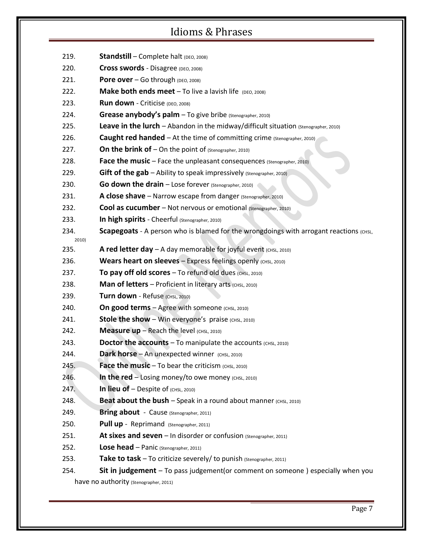- 220. **Cross swords** Disagree (DEO, 2008)
- 221. **Pore over** Go through (DEO, 2008)
- 222. **Make both ends meet** To live a lavish life (DEO, 2008)
- 223. **Run down** Criticise (DEO, 2008)
- 224. **Grease anybody's palm** To give bribe (Stenographer, 2010)
- 225. **Leave in the lurch** Abandon in the midway/difficult situation (Stenographer, 2010)
- 226. **Caught red handed** At the time of committing crime (Stenographer, 2010)
- 227. **On the brink of** On the point of (Stenographer, 2010)
- 228. **Face the music** Face the unpleasant consequences (Stenographer, 2010)
- 229. **Gift of the gab** Ability to speak impressively (Stenographer, 2010)
- 230. **Go down the drain** Lose forever (Stenographer, 2010)
- 231. **A close shave** Narrow escape from danger (Stenographer, 2010)
- 232. **Cool as cucumber** Not nervous or emotional (Stenographer, 2010)
- 233. **In high spirits** Cheerful (Stenographer, 2010)
- **234.** Scapegoats A person who is blamed for the wrongdoings with arrogant reactions (CHSL,

2010)

- 235. **A red letter day**  $-$  A day memorable for joyful event  $(CHSL, 2010)$
- 236. **Wears heart on sleeves** Express feelings openly (CHSL, 2010)
- 237. **To pay off old scores** To refund old dues (CHSL, 2010)
- 238. **Man of letters** Proficient in literary arts (CHSL, 2010)
- 239. **Turn down** Refuse (CHSL, 2010)
- 240. **On good terms** Agree with someone (CHSL, 2010)
- 241. **Stole the show** Win everyone's praise (CHSL, 2010)
- 242. **Measure up** Reach the level  $(CHSL, 2010)$
- 243. **Doctor the accounts**  $-$  To manipulate the accounts  $(CHSL, 2010)$
- 244. **Dark horse** An unexpected winner (CHSL, 2010)
- 245. **Face the music** To bear the criticism (CHSL, 2010)
- 246. **In the red** Losing money/to owe money  $(CHSL, 2010)$
- 247. **In lieu of** Despite of  $(CHSL, 2010)$
- 248. **Beat about the bush** Speak in a round about manner (CHSL, 2010)
- 249. **Bring about** Cause (Stenographer, 2011)
- 250. **Pull up** Reprimand (Stenographer, 2011)
- 251. **At sixes and seven** In disorder or confusion (Stenographer, 2011)
- 252. **Lose head** Panic (Stenographer, 2011)
- 253. **Take to task** To criticize severely/ to punish (Stenographer, 2011)
- 254. **Sit in judgement** To pass judgement(or comment on someone ) especially when you have no authority (Stenographer, 2011)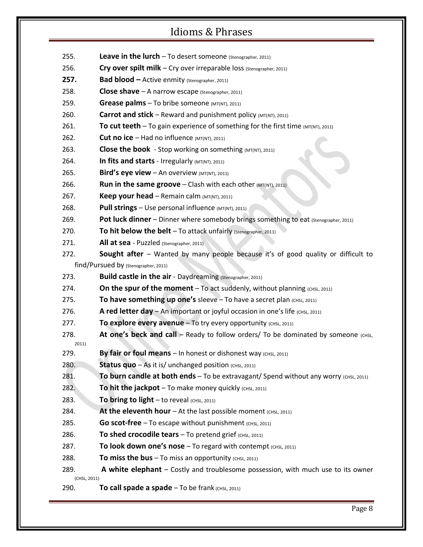- 255. **Leave in the lurch** To desert someone (Stenographer, 2011)
- 256. **Cry over spilt milk** Cry over irreparable loss (Stenographer, 2011)
- **257. Bad blood –** Active enmity (Stenographer, 2011)
- 258. **Close shave** A narrow escape (Stenographer, 2011)
- 259. **Grease palms** To bribe someone  $(MT(NT), 2011)$
- 260. **Carrot and stick** Reward and punishment policy  $(MT(NT), 2011)$
- 261. **To cut teeth** To gain experience of something for the first time  $(MT(MT), 2011)$
- 262. **Cut no ice** Had no influence  $(MT(NT), 2011)$
- 263. **Close the book** Stop working on something (MT(NT), 2011)
- 264. **In fits and starts** Irregularly (MT(NT), 2011)
- 265. **Bird's eye view** An overview  $(MT(NT), 2011)$
- **266. Run in the same groove** Clash with each other (MT(NT), 2011)
- 267. **Keep your head** Remain calm (MT(NT), 2011)
- 268. **Pull strings** Use personal influence (MT(NT), 2011)
- 269. **Pot luck dinner** Dinner where somebody brings something to eat (Stenographer, 2011)
- 270. To hit below the belt To attack unfairly (Stenographer, 2011)
- 271. **All at sea** Puzzled (Stenographer, 2011)
- 272. **Sought after** Wanted by many people because it's of good quality or difficult to find/Pursued by (Stenographer, 2011)
- 273. **Build castle in the air** Daydreaming (Stenographer, 2011)
- 274. **On the spur of the moment**  $-$  To act suddenly, without planning  $(cHSL)$ , 2011)
- 275. To have something up one's sleeve To have a secret plan (CHSL, 2011)
- 276. **A red letter day** An important or joyful occasion in one's life (CHSL, 2011)
- 277. **To explore every avenue** To try every opportunity (CHSL, 2011)
- 278. **At one's beck and call** Ready to follow orders/ To be dominated by someone  $(CHSL)$ 2011)
- 279. **By fair or foul means** In honest or dishonest way (CHSL, 2011)
- 280. **Status quo** As it is/ unchanged position (CHSL, 2011)
- 281. **To burn candle at both ends** To be extravagant/ Spend without any worry (CHSL, 2011)
- 282. **To hit the jackpot** To make money quickly  $(CHSL, 2011)$
- 283. **To bring to light** to reveal  $(CHSL, 2011)$
- 284. **At the eleventh hour** At the last possible moment  $(CHSL, 2011)$
- 285. **Go scot-free** To escape without punishment  $(CH)$ ,  $(CHSL, 2011)$
- 286. **To shed crocodile tears** To pretend grief (CHSL, 2011)
- 287. **To look down one's nose** To regard with contempt (CHSL, 2011)
- 288. **To miss the bus** To miss an opportunity (CHSL, 2011)
- 289. **A white elephant** Costly and troublesome possession, with much use to its owner (CHSL, 2011)
- 290. **To call spade a spade** To be frank (CHSL, 2011)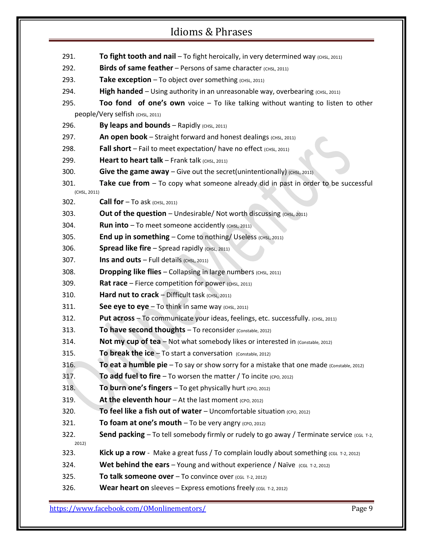| 291.                 | To fight tooth and nail - To fight heroically, in very determined way (CHSL, 2011)                |
|----------------------|---------------------------------------------------------------------------------------------------|
| 292.                 | <b>Birds of same feather</b> – Persons of same character (CHSL, 2011)                             |
| 293.                 | Take exception - To object over something (CHSL, 2011)                                            |
| 294.                 | <b>High handed</b> – Using authority in an unreasonable way, overbearing $(CHSL, 2011)$           |
| 295.                 | Too fond of one's own voice $-$ To like talking without wanting to listen to other                |
|                      | people/Very selfish (CHSL, 2011)                                                                  |
| 296.                 | By leaps and bounds $-$ Rapidly (CHSL, 2011)                                                      |
| 297.                 | An open book - Straight forward and honest dealings (CHSL, 2011)                                  |
| 298.                 | <b>Fall short</b> – Fail to meet expectation/ have no effect $(CH)$ , 2011)                       |
| 299.                 | Heart to heart talk - Frank talk (CHSL, 2011)                                                     |
| 300.                 | Give the game away – Give out the secret (unintentionally) $(CHSL, 2011)$                         |
| 301.<br>(CHSL, 2011) | Take cue from - To copy what someone already did in past in order to be successful                |
| 302.                 | <b>Call for</b> $-$ To ask (CHSL, 2011)                                                           |
| 303.                 | Out of the question - Undesirable/ Not worth discussing (CHSL, 2011)                              |
| 304.                 | <b>Run into</b> $-$ To meet someone accidently (CHSL, 2011)                                       |
| 305.                 | <b>End up in something - Come to nothing/ Useless (CHSL, 2011)</b>                                |
| 306.                 | <b>Spread like fire</b> $-$ Spread rapidly (CHSL, 2011)                                           |
| 307.                 | Ins and outs $-$ Full details (CHSL, 2011)                                                        |
| 308.                 | <b>Dropping like flies - Collapsing in large numbers (CHSL, 2011)</b>                             |
| 309.                 | Rat race - Fierce competition for power (CHSL, 2011)                                              |
| 310.                 | Hard nut to $crack$ - Difficult task (CHSL, 2011)                                                 |
| 311.                 | See eye to $eye - To$ think in same way $(CHSL, 2011)$                                            |
| 312.                 | Put across - To communicate your ideas, feelings, etc. successfully. (CHSL, 2011)                 |
| 313.                 | To have second thoughts - To reconsider (Constable, 2012)                                         |
| 314.                 | Not my cup of tea - Not what somebody likes or interested in (Constable, 2012)                    |
| 315.                 | To break the $ice$ – To start a conversation (Constable, 2012)                                    |
| 316.                 | <b>To eat a humble pie</b> $-$ To say or show sorry for a mistake that one made (Constable, 2012) |
| 317.                 | To add fuel to fire $-$ To worsen the matter / To incite (CPO, 2012)                              |
| 318.                 | To burn one's fingers $-$ To get physically hurt (CPO, 2012)                                      |
| 319.                 | At the eleventh hour $-$ At the last moment (CPO, 2012)                                           |
| 320.                 | To feel like a fish out of water $-$ Uncomfortable situation (CPO, 2012)                          |
| 321.                 | To foam at one's mouth $-$ To be very angry (CPO, 2012)                                           |
| 322.<br>2012)        | <b>Send packing</b> – To tell somebody firmly or rudely to go away / Terminate service (CGL T-2,  |
| 323.                 | Kick up a row - Make a great fuss / To complain loudly about something (CGL T-2, 2012)            |
| 324.                 | Wet behind the ears - Young and without experience / Naïve $(CGL$ T-2, 2012)                      |
| 325.                 | To talk someone over $-$ To convince over (CGL T-2, 2012)                                         |
| 326.                 | <b>Wear heart on</b> sleeves $-$ Express emotions freely (CGL T-2, 2012)                          |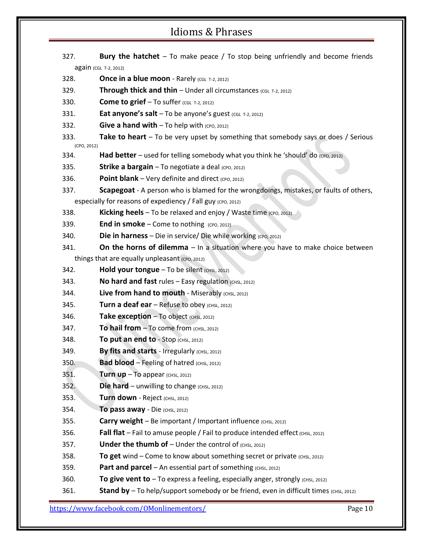- 327. **Bury the hatchet** To make peace / To stop being unfriendly and become friends again (CGL T-2, 2012)
- **328. <b>Once in a blue moon** Rarely (CGL T-2, 2012)
- **329.** Through thick and thin Under all circumstances (CGL T-2, 2012)
- 330. **Come to grief**  $-$  To suffer (CGL T-2, 2012)
- 331. **Eat anyone's salt** To be anyone's guest (CGL T-2, 2012)
- 332. **Give a hand with**  $-$  To help with (CPO, 2012)
- 333. **Take to heart** To be very upset by something that somebody says or does / Serious (CPO, 2012)
- 334. **Had better** used for telling somebody what you think he 'should' do (CPO, 2012)
- 335. **Strike a bargain** To negotiate a deal (CPO, 2012)
- 336. **Point blank** Very definite and direct (CPO, 2012)
- 337. **Scapegoat** A person who is blamed for the wrongdoings, mistakes, or faults of others, especially for reasons of expediency / Fall guy (CPO, 2012)
- 338. **Kicking heels** To be relaxed and enjoy / Waste time (CPO, 2012)
- 339. **End in smoke** Come to nothing (CPO, 2012)
- 340. **Die in harness** Die in service/ Die while working (CPO, 2012)
- 341. **On the horns of dilemma** In a situation where you have to make choice between
	- things that are equally unpleasant (CPO, 2012)
- 342. **Hold your tongue** To be silent (CHSL, 2012)
- 343. **No hard and fast** rules Easy regulation (CHSL, 2012)
- 344. **Live from hand to mouth** Miserably (CHSL, 2012)
- 345. **Turn a deaf ear** Refuse to obey (CHSL, 2012)
- 346. **Take exception** To object  $(CHSL, 2012)$
- 347. **To hail from**  $-$  To come from  $(CHSL, 2012)$
- **348. To put an end to** Stop (CHSL, 2012)
- 349. **By fits and starts** Irregularly (CHSL, 2012)
- 350. **Bad blood** Feeling of hatred  $(CHSL, 2012)$
- 351. **Turn up**  $-$  To appear (CHSL, 2012)
- 352. **Die hard** unwilling to change (CHSL, 2012)
- 353. **Turn down** Reject (CHSL, 2012)
- **354. To pass away** Die (CHSL, 2012)
- **Carry weight** Be important / Important influence (CHSL, 2012)
- 356. **Fall flat** Fail to amuse people / Fail to produce intended effect  $(cHSL, 2012)$
- 357. **Under the thumb of**  $-$  Under the control of  $(CHSL, 2012)$
- 358. **To get** wind Come to know about something secret or private (CHSL, 2012)
- 359. **Part and parcel** An essential part of something (CHSL, 2012)
- 360. **To give vent to** To express a feeling, especially anger, strongly (CHSL, 2012)
- 361. **Stand by** To help/support somebody or be friend, even in difficult times (CHSL, 2012)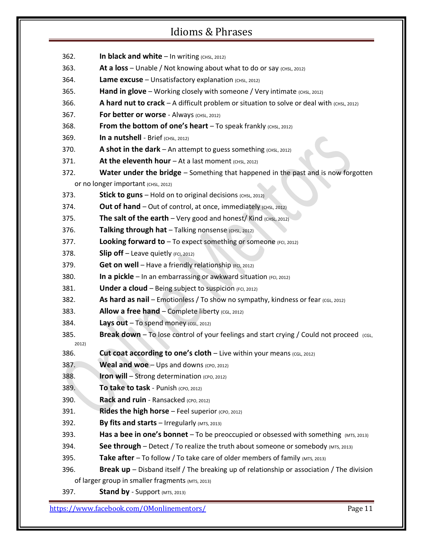| 362.          | In black and white - In writing (CHSL, 2012)                                                     |
|---------------|--------------------------------------------------------------------------------------------------|
| 363.          | At a loss – Unable / Not knowing about what to do or say $(CHSL, 2012)$                          |
| 364.          | Lame excuse - Unsatisfactory explanation (CHSL, 2012)                                            |
| 365.          | <b>Hand in glove</b> – Working closely with someone / Very intimate $(CHSL, 2012)$               |
| 366.          | A hard nut to crack $- A$ difficult problem or situation to solve or deal with $(cmsL, 2012)$    |
| 367.          | For better or worse - Always (CHSL, 2012)                                                        |
| 368.          | <b>From the bottom of one's heart</b> $-$ To speak frankly $(CHSL, 2012)$                        |
| 369.          | In a nutshell - Brief (CHSL, 2012)                                                               |
| 370.          | A shot in the dark – An attempt to guess something $(CHSL, 2012)$                                |
| 371.          | At the eleventh hour $-$ At a last moment (CHSL, 2012)                                           |
| 372.          | <b>Water under the bridge</b> - Something that happened in the past and is now forgotten         |
|               | Or no longer important (CHSL, 2012)                                                              |
| 373.          | Stick to guns - Hold on to original decisions (CHSL, 2012)                                       |
| 374.          | Out of hand $-$ Out of control, at once, immediately (CHSL, 2012)                                |
| 375.          | <b>The salt of the earth</b> $-$ Very good and honest/Kind (CHSL, 2012)                          |
| 376.          | Talking through hat - Talking nonsense (CHSL, 2012)                                              |
| 377.          | <b>Looking forward to</b> $-$ To expect something or someone (FCI, 2012)                         |
| 378.          | <b>Slip off</b> $-$ Leave quietly (FCI, 2012)                                                    |
| 379.          | Get on well - Have a friendly relationship (FCI, 2012)                                           |
| 380.          | In a pickle - In an embarrassing or awkward situation (FCI, 2012)                                |
| 381.          | Under a cloud - Being subject to suspicion (FCI, 2012)                                           |
| 382.          | As hard as nail – Emotionless / To show no sympathy, kindness or fear (CGL, 2012)                |
| 383.          | Allow a free hand - Complete liberty (CGL, 2012)                                                 |
| 384.          | Lays out - To spend money (CGL, 2012)                                                            |
| 385.          | <b>Break down</b> – To lose control of your feelings and start crying / Could not proceed (cGL,  |
| 2012)<br>386. | Cut coat according to one's cloth - Live within your means (CGL, 2012)                           |
| 387.          | <b>Weal and woe</b> $-$ Ups and downs (CPO, 2012)                                                |
| 388.          | Iron will - Strong determination (CPO, 2012)                                                     |
| 389.          | To take to task - Punish (CPO, 2012)                                                             |
| 390.          | Rack and ruin - Ransacked (CPO, 2012)                                                            |
| 391.          | <b>Rides the high horse</b> $-$ Feel superior (CPO, 2012)                                        |
| 392.          | By fits and starts $-$ Irregularly (MTS, 2013)                                                   |
| 393.          | <b>Has a bee in one's bonnet</b> – To be preoccupied or obsessed with something $(MTS, 2013)$    |
| 394.          | <b>See through</b> – Detect / To realize the truth about someone or somebody (MTS, 2013)         |
| 395.          | <b>Take after</b> – To follow / To take care of older members of family (MTS, 2013)              |
| 396.          | <b>Break up</b> – Disband itself / The breaking up of relationship or association / The division |
|               | of larger group in smaller fragments (MTS, 2013)                                                 |
| 397.          | <b>Stand by</b> - Support (MTS, 2013)                                                            |
|               |                                                                                                  |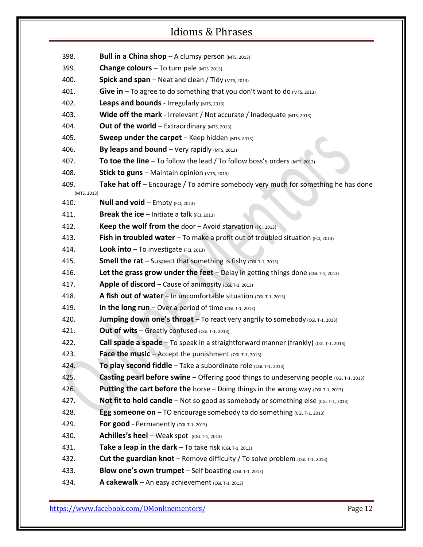| 398.                | <b>Bull in a China shop</b> $-$ A clumsy person (MTS, 2013)                                    |
|---------------------|------------------------------------------------------------------------------------------------|
| 399.                | <b>Change colours</b> $-$ To turn pale ( $MTS$ , 2013)                                         |
| 400.                | <b>Spick and span</b> – Neat and clean / Tidy (MTS, 2013)                                      |
| 401.                | Give in - To agree to do something that you don't want to do (MTS, 2013)                       |
| 402.                | Leaps and bounds - Irregularly (MTS, 2013)                                                     |
| 403.                | Wide off the mark - Irrelevant / Not accurate / Inadequate (MTS, 2013)                         |
| 404.                | Out of the world $-$ Extraordinary (MTS, 2013)                                                 |
| 405.                | <b>Sweep under the carpet</b> $-$ Keep hidden (MTS, 2013)                                      |
| 406.                | By leaps and bound $-$ Very rapidly (MTS, 2013)                                                |
| 407.                | To toe the line - To follow the lead / To follow boss's orders (MTS, 2013)                     |
| 408.                | Stick to guns - Maintain opinion (MTS, 2013)                                                   |
| 409.                | Take hat off - Encourage / To admire somebody very much for something he has done              |
| (MTS, 2013)<br>410. | <b>Null and void - Empty (FCI, 2013)</b>                                                       |
| 411.                | <b>Break the ice</b> $-$ Initiate a talk (FCI, 2013)                                           |
| 412.                | <b>Keep the wolf from the door - Avoid starvation (FCI, 2013)</b>                              |
| 413.                | Fish in troubled water - To make a profit out of troubled situation (FCI, 2013)                |
| 414.                | <b>Look into</b> $-$ To investigate (FCI, 2013)                                                |
| 415.                | <b>Smell the rat</b> – Suspect that something is fishy (CGL T-1, 2013)                         |
| 416.                | Let the grass grow under the feet $-$ Delay in getting things done (CGL T-1, 2013)             |
| 417.                | Apple of discord - Cause of animosity (CGL T-1, 2013)                                          |
| 418.                | A fish out of water - In uncomfortable situation (CGL T-1, 2013)                               |
| 419.                | In the long run $-$ Over a period of time (CGL T-1, 2013)                                      |
| 420.                | Jumping down one's throat - To react very angrily to somebody (CGL T-1, 2013)                  |
| 421.                | Out of wits - Greatly confused (CGL T-1, 2013)                                                 |
| 422.                | <b>Call spade a spade</b> $-$ To speak in a straightforward manner (frankly) (CGL T-1, 2013)   |
| 423.                | <b>Face the music</b> $-$ Accept the punishment (CGL T-1, 2013)                                |
| 424.                | To play second fiddle - Take a subordinate role (CGL T-1, 2013)                                |
| 425.                | <b>Casting pearl before swine</b> – Offering good things to undeserving people (CGL T-1, 2013) |
| 426.                | Putting the cart before the horse - Doing things in the wrong way (CGL T-1, 2013)              |
| 427.                | Not fit to hold candle - Not so good as somebody or something else (CGL T-1, 2013)             |
| 428.                | <b>Egg someone on</b> $-$ TO encourage somebody to do something $(CGL T-1, 2013)$              |
| 429.                | For good - Permanently (CGL T-1, 2013)                                                         |
| 430.                | Achilles's heel - Weak spot $(CGL T-1, 2013)$                                                  |
| 431.                | Take a leap in the dark $-$ To take risk (CGL T-1, 2013)                                       |
| 432.                | <b>Cut the guardian knot</b> – Remove difficulty / To solve problem (CGL T-1, 2013)            |
| 433.                | <b>Blow one's own trumpet</b> $-$ Self boasting (CGL T-1, 2013)                                |
| 434.                | A cakewalk - An easy achievement (CGL T-1, 2013)                                               |
|                     |                                                                                                |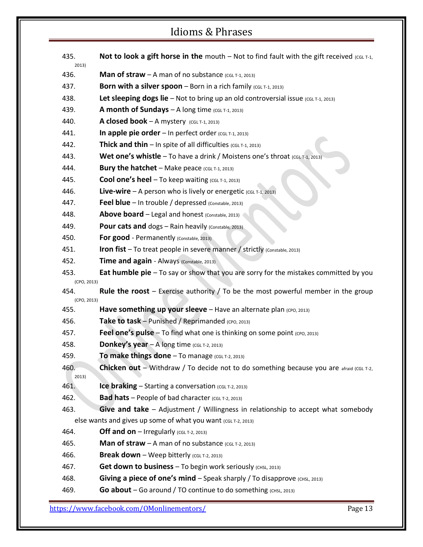- **A35. Not to look a gift horse in the** mouth Not to find fault with the gift received (CGL T-1,
- 436. **Man of straw** A man of no substance  $(c<sub>GL</sub> T-1, 2013)$
- **437. Born with a silver spoon** Born in a rich family (CGL T-1, 2013)
- 438. **Let sleeping dogs lie** Not to bring up an old controversial issue (CGL T-1, 2013)
- 439. **A month of Sundays** A long time (CGL T-1, 2013)
- 440. **A closed book** A mystery  $(CGL T-1, 2013)$

2013)

- 441. **In apple pie order** In perfect order (CGL T-1, 2013)
- 442. **Thick and thin**  $-$  In spite of all difficulties (CGL T-1, 2013)
- 443. **Wet one's whistle** To have a drink / Moistens one's throat (CGL T-1, 2013)
- 444. **Bury the hatchet** Make peace  $(CGL T-1, 2013)$
- 445. **Cool one's heel** To keep waiting (CGL T-1, 2013)
- 446. **Live-wire** A person who is lively or energetic  $(CGL T-1, 2013)$
- 447. **Feel blue** In trouble / depressed (Constable, 2013)
- 448. **Above board** Legal and honest (Constable, 2013)
- 449. **Pour cats and** dogs Rain heavily (Constable, 2013)
- 450. **For good** Permanently (Constable, 2013)
- 451. **Iron fist** To treat people in severe manner / strictly (Constable, 2013)
- 452. **Time and again** Always (Constable, 2013)
- 453. **Eat humble pie** To say or show that you are sorry for the mistakes committed by you (CPO, 2013)
- 454. **Rule the roost** Exercise authority / To be the most powerful member in the group (CPO, 2013)
- **455. Have something up your sleeve** Have an alternate plan (CPO, 2013)
- 456. **Take to task** Punished / Reprimanded (CPO, 2013)
- 457. **Feel one's pulse** To find what one is thinking on some point (CPO, 2013)
- 458. **Donkey's year**  $-\mathsf{A}$  long time (CGL T-2, 2013)
- 459. **To make things done** To manage (CGL T-2, 2013)
- 460. **Chicken out** Withdraw / To decide not to do something because you are afraid (CGL T-2, 2013)
- 461. **Ice braking** Starting a conversation (CGL T-2, 2013)
- **462. Bad hats** People of bad character (CGL T-2, 2013)
- 463. **Give and take** Adjustment / Willingness in relationship to accept what somebody else wants and gives up some of what you want (CGL T-2, 2013)
- 464. **Off and on** Irregularly  $(CGLT-2, 2013)$
- 465. **Man of straw** A man of no substance  $(CGL T-2, 2013)$
- 466. **Break down** Weep bitterly (CGL T-2, 2013)
- 467. **Get down to business** To begin work seriously (CHSL, 2013)
- 468. **Giving a piece of one's mind** Speak sharply / To disapprove (CHSL, 2013)
- 469. **Go about** Go around / TO continue to do something (CHSL, 2013)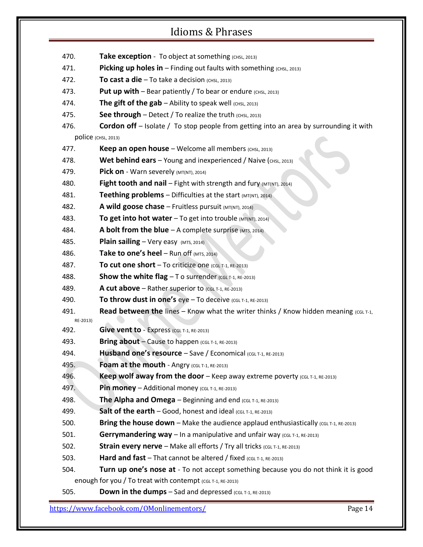| 470.     | Take exception - To object at something (CHSL, 2013)                                          |
|----------|-----------------------------------------------------------------------------------------------|
| 471.     | <b>Picking up holes in</b> $-$ Finding out faults with something $(CHSL, 2013)$               |
| 472.     | To cast a die $-$ To take a decision (CHSL, 2013)                                             |
| 473.     | Put up with - Bear patiently / To bear or endure (CHSL, 2013)                                 |
| 474.     | The gift of the $\text{gab}$ - Ability to speak well (CHSL, 2013)                             |
| 475.     | See through $-$ Detect / To realize the truth (CHSL, 2013)                                    |
| 476.     | <b>Cordon off</b> – Isolate / To stop people from getting into an area by surrounding it with |
|          | POlice (CHSL, 2013)                                                                           |
| 477.     | Keep an open house - Welcome all members (CHSL, 2013)                                         |
| 478.     | <b>Wet behind ears</b> $-$ Young and inexperienced / Naive (CHSL, 2013)                       |
| 479.     | Pick on - Warn severely $(MT(NT), 2014)$                                                      |
| 480.     | Fight tooth and nail - Fight with strength and fury (MT(NT), 2014)                            |
| 481.     | <b>Teething problems</b> – Difficulties at the start $(MT(NT), 2014)$                         |
| 482.     | A wild goose chase $-$ Fruitless pursuit ( $MT(NT)$ , 2014)                                   |
| 483.     | To get into hot water $-$ To get into trouble ( $MT(NT)$ , 2014)                              |
| 484.     | A bolt from the blue $-A$ complete surprise (MTS, 2014)                                       |
| 485.     | Plain sailing - Very easy (MTS, 2014)                                                         |
| 486.     | Take to one's heel $-$ Run off (MTS, 2014)                                                    |
| 487.     | To cut one short - To criticize one (CGL T-1, RE-2013)                                        |
| 488.     | <b>Show the white flag</b> $-$ T o surrender (CGL T-1, RE-2013)                               |
| 489.     | A cut above $-$ Rather superior to $(CGL T-1, RE-2013)$                                       |
| 490.     | To throw dust in one's $eye - To$ deceive $(cGLT-1, RE-2013)$                                 |
| 491.     | <b>Read between the lines - Know what the writer thinks / Know hidden meaning (CGL T-1,</b>   |
| RE-2013) |                                                                                               |
| 492.     | Give vent to - Express (CGL T-1, RE-2013)                                                     |
| 493.     | Bring about - Cause to happen (CGL T-1, RE-2013)                                              |
| 494.     | Husband one's resource - Save / Economical (CGL T-1, RE-2013)                                 |
| 495.     | Foam at the mouth - Angry (CGL T-1, RE-2013)                                                  |
| 496.     | <b>Keep wolf away from the door</b> $-$ Keep away extreme poverty (CGL T-1, RE-2013)          |
| 497.     | <b>Pin money</b> $-$ Additional money (CGL T-1, RE-2013)                                      |
| 498.     | <b>The Alpha and Omega</b> $-$ Beginning and end (CGL T-1, RE-2013)                           |
| 499.     | Salt of the earth - Good, honest and ideal (CGL T-1, RE-2013)                                 |
| 500.     | Bring the house down - Make the audience applaud enthusiastically (CGL T-1, RE-2013)          |
| 501.     | Gerrymandering way - In a manipulative and unfair way (CGL T-1, RE-2013)                      |
| 502.     | <b>Strain every nerve</b> – Make all efforts / Try all tricks (CGL T-1, RE-2013)              |
| 503.     | Hard and fast – That cannot be altered / fixed $(CGL T-1, RE-2013)$                           |
| 504.     | Turn up one's nose at - To not accept something because you do not think it is good           |
|          | enough for you / To treat with contempt (CGL T-1, RE-2013)                                    |
| 505.     | <b>Down in the dumns - Sad and depressed <math>(\text{c} + 1 \text{ or } 2012)</math></b>     |

**505. Down in the dumps** – Sad and depressed (CGL T-1, RE-2013)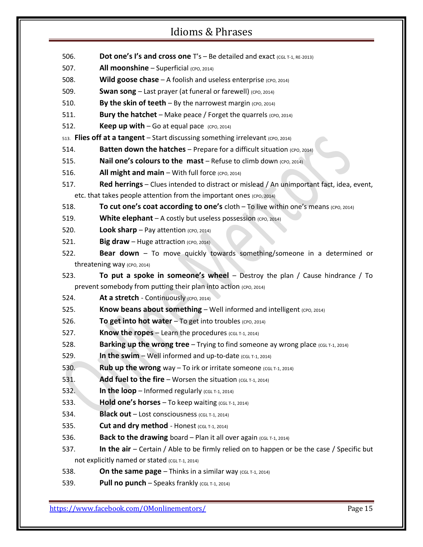- 506. **Dot one's I's and cross one** T's Be detailed and exact (CGL T-1, RE-2013)
- 507. **All moonshine** Superficial (CPO, 2014)
- 508. **Wild goose chase** A foolish and useless enterprise (CPO, 2014)
- 509. **Swan song** Last prayer (at funeral or farewell) (CPO, 2014)
- 510. **By the skin of teeth** By the narrowest margin  $(CPO, 2014)$
- 511. **Bury the hatchet** Make peace / Forget the quarrels (CPO, 2014)
- 512. **Keep up with**  $-\text{Go}$  at equal pace  $(\text{CPO}, 2014)$
- 513. **Flies off at a tangent** Start discussing something irrelevant (CPO, 2014)
- **514. Batten down the hatches** Prepare for a difficult situation (cpo, 2014)
- 515. **Nail one's colours to the mast** Refuse to climb down (CPO, 2014)
- 516. **All might and main** With full force (CPO, 2014)
- 517. **Red herrings** Clues intended to distract or mislead / An unimportant fact, idea, event, etc. that takes people attention from the important ones (CPO, 2014)
- 518. **To cut one's coat according to one's** cloth To live within one's means (cpo, 2014)
- 519. **White elephant** A costly but useless possession (CPO, 2014)
- 520. **Look sharp** Pay attention (CPO, 2014)
- 521. **Big draw** Huge attraction (CPO, 2014)
- 522. **Bear down** To move quickly towards something/someone in a determined or threatening way (CPO, 2014)
- 523. **To put a spoke in someone's wheel** Destroy the plan / Cause hindrance / To prevent somebody from putting their plan into action (CPO, 2014)
- 524. **At a stretch** Continuously (CPO, 2014)
- 525. **Know beans about something** Well informed and intelligent (CPO, 2014)
- 526. **To get into hot water** To get into troubles (CPO, 2014)
- 527. **Know the ropes** Learn the procedures (CGL T-1, 2014)
- 528. **Barking up the wrong tree** Trying to find someone ay wrong place (CGL T-1, 2014)
- 529. **In the swim** Well informed and up-to-date  $(CGL T-1, 2014)$
- 530. **Rub up the wrong** way To irk or irritate someone (CGL T-1, 2014)
- 531. Add fuel to the fire Worsen the situation (CGL T-1, 2014)
- 532. **In the loop** Informed regularly  $(CGL T-1, 2014)$
- 533. **Hold one's horses** To keep waiting  $(CGL T-1, 2014)$
- 534. **Black out** Lost consciousness (CGL T-1, 2014)
- **535. Cut and dry method** Honest (CGL T-1, 2014)
- 536. **Back to the drawing** board Plan it all over again  $(CG<sub>L</sub> T-1, 2014)$
- 537. **In the air** Certain / Able to be firmly relied on to happen or be the case / Specific but not explicitly named or stated (CGL T-1, 2014)
- 538. **On the same page** Thinks in a similar way  $(CGL T-1, 2014)$
- 539. **Pull no punch** Speaks frankly (CGL T-1, 2014)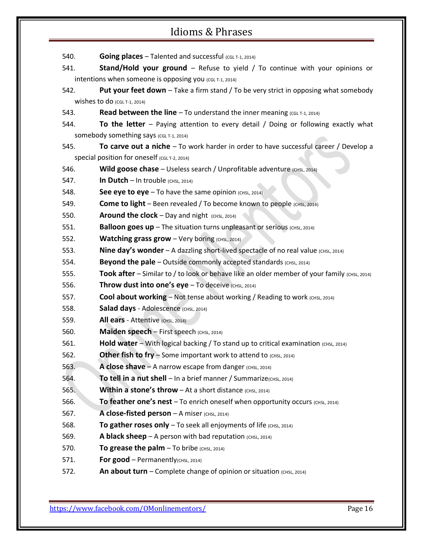| 540. | <b>Going places</b> – Talented and successful (CGL T-1, 2014)                                |
|------|----------------------------------------------------------------------------------------------|
| 541. | Stand/Hold your ground - Refuse to yield / To continue with your opinions or                 |
|      | intentions when someone is opposing you (CGL T-1, 2014)                                      |
| 542. | <b>Put your feet down</b> – Take a firm stand / To be very strict in opposing what somebody  |
|      | Wishes to do $(CGL T-1, 2014)$                                                               |
| 543. | <b>Read between the line - To understand the inner meaning (CGL T-1, 2014)</b>               |
| 544. | To the letter – Paying attention to every detail / Doing or following exactly what           |
|      | SOMebody something says (CGL T-1, 2014)                                                      |
| 545. | To carve out a niche $-$ To work harder in order to have successful career / Develop a       |
|      | Special position for oneself (CGL T-2, 2014)                                                 |
| 546. | Wild goose chase - Useless search / Unprofitable adventure (CHSL, 2014)                      |
| 547. | In Dutch $-$ In trouble (CHSL, 2014)                                                         |
| 548. | See eye to $eye - To$ have the same opinion (CHSL, 2014)                                     |
| 549. | <b>Come to light</b> – Been revealed / To become known to people (CHSL, 2014)                |
| 550. | <b>Around the clock</b> $-$ Day and night $(CHSL, 2014)$                                     |
| 551. | Balloon goes up - The situation turns unpleasant or serious (CHSL, 2014)                     |
| 552. | <b>Watching grass grow</b> $-\$ Very boring (CHSL, 2014)                                     |
| 553. | <b>Nine day's wonder</b> - A dazzling short-lived spectacle of no real value (CHSL, 2014)    |
| 554. | <b>Beyond the pale</b> – Outside commonly accepted standards $(CHSL, 2014)$                  |
| 555. | Took after - Similar to / to look or behave like an older member of your family (CHSL, 2014) |
| 556. | Throw dust into one's eye - To deceive (CHSL, 2014)                                          |
| 557. | <b>Cool about working</b> – Not tense about working / Reading to work (CHSL, 2014)           |
| 558. | Salad days - Adolescence (CHSL, 2014)                                                        |
| 559. | All ears - Attentive (CHSL, 2014)                                                            |
| 560. | Maiden speech - First speech (CHSL, 2014)                                                    |
| 561. | <b>Hold water</b> – With logical backing / To stand up to critical examination (CHSL, 2014)  |
| 562. | Other fish to fry $-$ Some important work to attend to $(CH)$ , 2014)                        |
| 563. | A close shave $-$ A narrow escape from danger (CHSL, 2014)                                   |
| 564. | To tell in a nut shell $-$ In a brief manner / Summarize(CHSL, 2014)                         |
| 565. | <b>Within a stone's throw</b> – At a short distance $(CHSL_2 2014)$                          |
| 566. | To feather one's nest $-$ To enrich oneself when opportunity occurs (CHSL, 2014)             |
| 567. | A close-fisted person - A miser (CHSL, 2014)                                                 |
| 568. | To gather roses only $-$ To seek all enjoyments of life (CHSL, 2014)                         |
| 569. | A black sheep $-$ A person with bad reputation (CHSL, 2014)                                  |
| 570. | To grease the $palm - To bride (CHSL, 2014)$                                                 |
| 571. | For good - Permanently(CHSL, 2014)                                                           |
| 572. | An about turn - Complete change of opinion or situation (CHSL, 2014)                         |
|      |                                                                                              |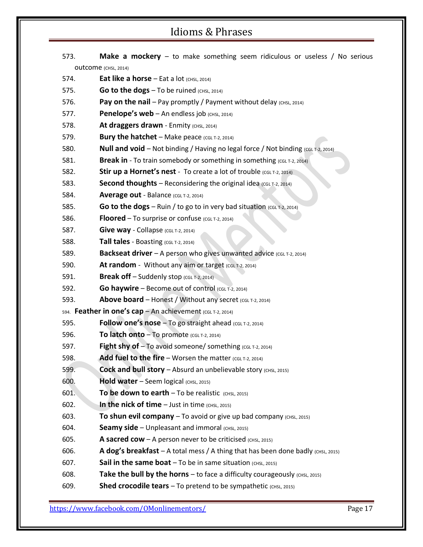| 573.                 | <b>Make a mockery</b> $-$ to make something seem ridiculous or useless / No serious |  |
|----------------------|-------------------------------------------------------------------------------------|--|
| OUtcome (CHSL, 2014) |                                                                                     |  |
| 574.                 | <b>Eat like a horse</b> $-$ Eat a lot $(CHSL, 2014)$                                |  |
| 575.                 | Go to the dogs - To be ruined (CHSL, 2014)                                          |  |
| 576.                 | <b>Pay on the nail</b> – Pay promptly / Payment without delay $(CH)$ (CHSL, 2014)   |  |
| 577.                 | <b>Penelope's web</b> $-$ An endless job (CHSL, 2014)                               |  |
| 578.                 | At draggers drawn - Enmity (CHSL, 2014)                                             |  |
| 579.                 | <b>Bury the hatchet</b> $-$ Make peace (CGL T-2, 2014)                              |  |
| 580.                 | Null and void - Not binding / Having no legal force / Not binding (CGL T-2, 2014)   |  |
| 581.                 | <b>Break in</b> - To train somebody or something in something (CGL T-2, 2014)       |  |
| 582.                 | Stir up a Hornet's nest - To create a lot of trouble (CGL T-2, 2014)                |  |
| 583.                 | <b>Second thoughts</b> – Reconsidering the original idea (CGL T-2, 2014)            |  |
| 584.                 | Average out - Balance (CGL T-2, 2014)                                               |  |
| 585.                 | Go to the dogs - Ruin / to go to in very bad situation (CGL T-2, 2014)              |  |
| 586.                 | <b>Floored</b> – To surprise or confuse (CGL T-2, 2014)                             |  |
| 587.                 | Give way - Collapse (CGL T-2, 2014)                                                 |  |
| 588.                 | Tall tales - Boasting (CGL T-2, 2014)                                               |  |
| 589.                 | <b>Backseat driver</b> $-$ A person who gives unwanted advice (CGL T-2, 2014)       |  |
| 590.                 | At random - Without any aim or target (CGL T-2, 2014)                               |  |
| 591.                 | <b>Break off</b> $-$ Suddenly stop (CGL T-2, 2014)                                  |  |
| 592.                 | <b>Go haywire</b> - Become out of control (CGL T-2, 2014)                           |  |
| 593.                 | Above board - Honest / Without any secret (CGL T-2, 2014)                           |  |
|                      | 594. Feather in one's cap - An achievement (CGL T-2, 2014)                          |  |
| 595.                 | Follow one's nose $-$ To go straight ahead (CGL T-2, 2014)                          |  |
| 596.                 | To latch onto $-$ To promote (CGL T-2, 2014)                                        |  |
| 597.                 | Fight shy of - To avoid someone/ something (CGL T-2, 2014)                          |  |
| 598.                 | Add fuel to the fire $-$ Worsen the matter (CGL T-2, 2014)                          |  |
| 599.                 | <b>Cock and bull story</b> $-$ Absurd an unbelievable story (CHSL, 2015)            |  |
| 600.                 | Hold water - Seem logical (CHSL, 2015)                                              |  |
| 601.                 | To be down to earth $-$ To be realistic $(CHSL, 2015)$                              |  |
| 602.                 | In the nick of time $-$ Just in time $(CHSL, 2015)$                                 |  |
| 603.                 | To shun evil company $-$ To avoid or give up bad company $(CHSL, 2015)$             |  |
| 604.                 | Seamy side - Unpleasant and immoral (CHSL, 2015)                                    |  |
| 605.                 | <b>A sacred cow</b> $-$ A person never to be criticised (CHSL, 2015)                |  |
| 606.                 | A dog's breakfast - A total mess / A thing that has been done badly (CHSL, 2015)    |  |
| 607.                 | <b>Sail in the same boat</b> $-$ To be in same situation (CHSL, 2015)               |  |
| 608.                 | Take the bull by the horns $-$ to face a difficulty courageously $(CHSL)$ , 2015)   |  |
| 609.                 | <b>Shed crocodile tears</b> $-$ To pretend to be sympathetic $(CHSL, 2015)$         |  |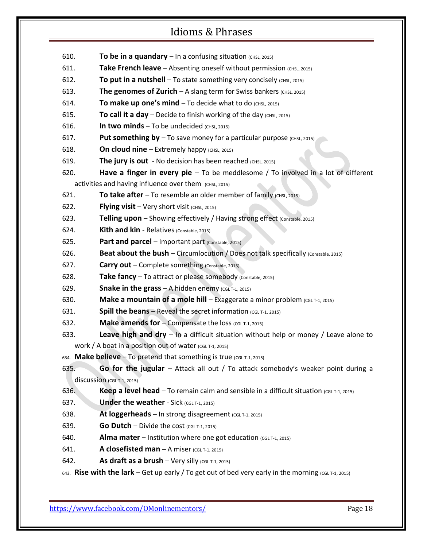610. **To be in a quandary** – In a confusing situation (CHSL, 2015) 611. **Take French leave** – Absenting oneself without permission (CHSL, 2015) 612. **To put in a nutshell** – To state something very concisely (CHSL, 2015) 613. **The genomes of Zurich** – A slang term for Swiss bankers (CHSL, 2015) 614. **To make up one's mind** – To decide what to do  $(CHSL, 2015)$ 615. **To call it a day** – Decide to finish working of the day  $(CHSL, 2015)$ 616. **In two minds** – To be undecided  $(CHSL, 2015)$ 617. **Put something by** – To save money for a particular purpose (CHSL, 2015) 618. **On cloud nine** – Extremely happy (CHSL, 2015) 619. The jury is out - No decision has been reached (CHSL, 2015) 620. **Have a finger in every pie** – To be meddlesome / To involved in a lot of different activities and having influence over them (CHSL, 2015) 621. **To take after** – To resemble an older member of family  $(CHSL)$ , 2015) 622. **Flying visit** – Very short visit (CHSL, 2015) 623. **Telling upon** – Showing effectively / Having strong effect (Constable, 2015) 624. **Kith and kin** - Relatives (Constable, 2015) 625. **Part and parcel** – Important part (Constable, 2015) 626. **Beat about the bush** – Circumlocution / Does not talk specifically (Constable, 2015) 627. **Carry out** – Complete something (Constable, 2015) 628. **Take fancy** – To attract or please somebody (Constable, 2015) 629. **Snake in the grass**  $-$  A hidden enemy (CGL T-1, 2015) 630. **Make a mountain of a mole hill** – Exaggerate a minor problem (CGL T-1, 2015) 631. **Spill the beans** – Reveal the secret information  $(CGL T-1, 2015)$ 632. **Make amends for** – Compensate the loss (CGL T-1, 2015) 633. **Leave high and dry** – In a difficult situation without help or money / Leave alone to work / A boat in a position out of water  $(CGL T-1, 2015)$ 634. **Make believe** – To pretend that something is true (CGL T-1, 2015) 635. **Go for the jugular** – Attack all out / To attack somebody's weaker point during a discussion (CGL T-1, 2015) 636. **Keep a level head** – To remain calm and sensible in a difficult situation (CGL T-1, 2015) **637. Under the weather** - Sick (CGL T-1, 2015) 638. **At loggerheads** – In strong disagreement (CGL T-1, 2015) 639. **Go Dutch** – Divide the cost (CGL T-1, 2015) 640. **Alma mater** – Institution where one got education  $(CGLT-1, 2015)$ 641. **A closefisted man** – A miser  $(cGLT-1, 2015)$ 642. **As draft as a brush** – Very silly (CGL T-1, 2015) 643. **Rise with the lark** – Get up early / To get out of bed very early in the morning (CGL T-1, 2015)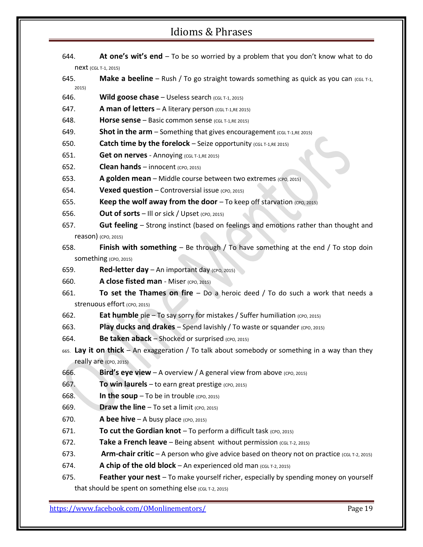- 644. **At one's wit's end** To be so worried by a problem that you don't know what to do next (CGL T-1, 2015)
- **645. Make a beeline** Rush / To go straight towards something as quick as you can (CGL T-1, 2015)
- 646. **Wild goose chase** Useless search (CGL T-1, 2015)
- 647. **A man of letters** A literary person (CGL T-1, RE 2015)
- 648. **Horse sense** Basic common sense (CGL T-1,RE 2015)
- 649. **Shot in the arm** Something that gives encouragement (CGL T-1,RE 2015)
- **650. Catch time by the forelock** Seize opportunity (CGL T-1,RE 2015)
- 651. **Get on nerves** Annoying (CGL T-1,RE 2015)
- 652. **Clean hands** innocent (CPO, 2015)
- 653. **A golden mean** Middle course between two extremes (cpo, 2015)
- 654. **Vexed question** Controversial issue (CPO, 2015)
- 655. **Keep the wolf away from the door** To keep off starvation (CPO, 2015)
- 656. **Out of sorts** III or sick / Upset (CPO, 2015)
- 657. **Gut feeling** Strong instinct (based on feelings and emotions rather than thought and reason) (CPO, 2015)
- 658. **Finish with something** Be through / To have something at the end / To stop doin SOMething (CPO, 2015)
- 659. **Red-letter day** An important day (CPO, 2015)
- 660. **A close fisted man** Miser (CPO, 2015)
- 661. **To set the Thames on fire** Do a heroic deed / To do such a work that needs a strenuous effort (CPO, 2015)
- 662. **Eat humble** pie To say sorry for mistakes / Suffer humiliation (CPO, 2015)
- 663. **Play ducks and drakes** Spend lavishly / To waste or squander (CPO, 2015)
- 664. **Be taken aback** Shocked or surprised (CPO, 2015)
- 665. **Lay it on thick** An exaggeration / To talk about somebody or something in a way than they really are (CPO, 2015)
- 666. **Bird's eye view** A overview / A general view from above (CPO, 2015)
- 667. **To win laurels** to earn great prestige (CPO, 2015)
- 668. **In the soup** To be in trouble (CPO, 2015)
- 669. **Draw the line** To set a limit  $(CPO, 2015)$
- 670. **A bee hive** A busy place (cpo, 2015)
- 671. **To cut the Gordian knot** To perform a difficult task (CPO, 2015)
- 672. **Take a French leave** Being absent without permission (CGL T-2, 2015)
- 673. **Arm-chair critic** A person who give advice based on theory not on practice (CGL T-2, 2015)
- 674. **A chip of the old block** An experienced old man (CGL T-2, 2015)
- 675. **Feather your nest** To make yourself richer, especially by spending money on yourself that should be spent on something else  $(CGL T-2, 2015)$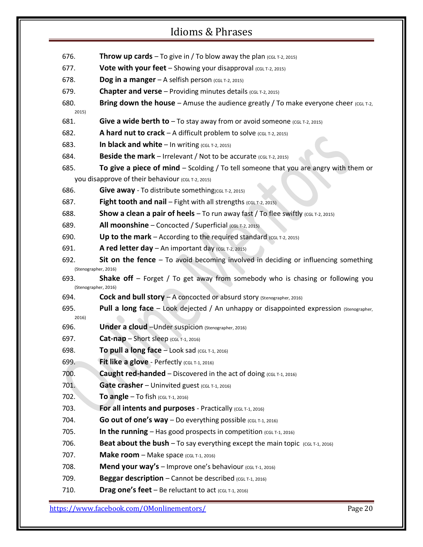- 676. **Throw up cards** To give in / To blow away the plan  $(CGL T-2, 2015)$
- 677. **Vote with your feet** Showing your disapproval (CGL T-2, 2015)
- 678. **Dog in a manger**  $-$  A selfish person (CGL T-2, 2015)
- 679. **Chapter and verse** Providing minutes details (CGL T-2, 2015)
- **680. Bring down the house** Amuse the audience greatly / To make everyone cheer (CGL T-2, 2015)
- 681. **Give a wide berth to** To stay away from or avoid someone (CGL T-2, 2015)
- 682. **A hard nut to crack** A difficult problem to solve  $(CG|T-2, 2015)$
- 683. **In black and white** In writing  $(CGL T-2, 2015)$
- 684. **Beside the mark** Irrelevant / Not to be accurate (CGL T-2, 2015)
- 685. **To give a piece of mind** Scolding / To tell someone that you are angry with them or you disapprove of their behaviour (CGL T-2, 2015)
- 686. **Give away** To distribute something(CGL T-2, 2015)
- 687. **Fight tooth and nail** Fight with all strengths (CGL T-2, 2015)
- 688. **Show a clean a pair of heels** To run away fast / To flee swiftly (CGL T-2, 2015)
- 689. **All moonshine** Concocted / Superficial (CGL T-2, 2015)
- 690. **Up to the mark** According to the required standard  $(CG<sub>L</sub> T-2, 2015)$
- 691. **A red letter day** An important day  $(c<sub>GL T-2</sub>, 2015)$
- 692. **Sit on the fence** To avoid becoming involved in deciding or influencing something (Stenographer, 2016)
- 693. **Shake off** Forget / To get away from somebody who is chasing or following you (Stenographer, 2016)
- 694. **Cock and bull story** A concocted or absurd story (Stenographer, 2016)
- 695. **Pull a long face** Look dejected / An unhappy or disappointed expression (Stenographer, 2016)
- 696. **Under a cloud** –Under suspicion (Stenographer, 2016)
- **697. Cat-nap** Short sleep (CGL T-1, 2016)
- 698. **To pull a long face** Look sad (CGL T-1, 2016)
- **699. Fit like a glove** Perfectly (CGL T-1, 2016)
- 700. **Caught red-handed** Discovered in the act of doing (CGL T-1, 2016)
- 701. **Gate crasher** Uninvited guest (CGL T-1, 2016)
- **702. To angle** To fish (CGL T-1, 2016)
- 703. **For all intents and purposes** Practically (CGL T-1, 2016)
- 704. **Go out of one's way** Do everything possible  $(cG1 T-1, 2016)$
- 705. **In the running** Has good prospects in competition  $(CGLT-1, 2016)$
- 706. **Beat about the bush** To say everything except the main topic (CGL T-1, 2016)
- **707. Make room** Make space (CGL T-1, 2016)
- 708. **Mend your way's** Improve one's behaviour (CGL T-1, 2016)
- 709. **Beggar description** Cannot be described (CGL T-1, 2016)
- 710. **Drag one's feet** Be reluctant to act  $(CGL T-1, 2016)$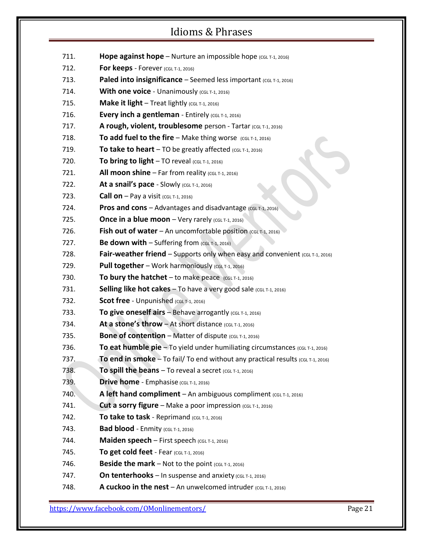- 711. **Hope against hope** Nurture an impossible hope (CGL T-1, 2016)
- **712. For keeps** Forever (CGL T-1, 2016)
- 713. **Paled into insignificance** Seemed less important (CGL T-1, 2016)
- 714. **With one voice** Unanimously (CGL T-1, 2016)
- 715. **Make it light** Treat lightly  $(CGL T-1, 2016)$
- 716. **Every inch a gentleman** Entirely (CGL T-1, 2016)
- 717. **A rough, violent, troublesome** person Tartar (CGL T-1, 2016)
- 718. **To add fuel to the fire** Make thing worse (CGL T-1, 2016)
- 719. **To take to heart** TO be greatly affected  $(CGL T-1, 2016)$
- 720. **To bring to light**  $-$  TO reveal (CGL T-1, 2016)
- 721. **All moon shine**  $-$  Far from reality (CGL T-1, 2016)
- 722. **At a snail's pace** Slowly  $(CGL T-1, 2016)$
- **723. Call on** Pay a visit (CGL T-1, 2016)
- 724. **Pros and cons** Advantages and disadvantage (CGL T-1, 2016)
- 725. **Once in a blue moon** Very rarely  $(CGL T-1, 2016)$
- 726. **Fish out of water** An uncomfortable position (CGL T-1, 2016)
- 727. **Be down with**  $-$  Suffering from (CGL T-1, 2016)
- 728. **Fair-weather friend** Supports only when easy and convenient  $(CGL T-1, 2016)$
- 729. **Pull together** Work harmoniously (CGL T-1, 2016)
- 730. **To bury the hatchet** to make peace  $(CGL T-1, 2016)$
- 731. **Selling like hot cakes** To have a very good sale (CGL T-1, 2016)
- 732. **Scot free** Unpunished (CGL T-1, 2016)
- 733. **To give oneself airs** Behave arrogantly (CGL T-1, 2016)
- 734. **At a stone's throw** At short distance  $(CGL T-1, 2016)$
- 735. **Bone of contention** Matter of dispute  $(CGL T-1, 2016)$
- 736. **To eat humble pie** To yield under humiliating circumstances (CGL T-1, 2016)
- 737. **To end in smoke** To fail/ To end without any practical results (CGL T-1, 2016)
- 738. **To spill the beans**  $-$  To reveal a secret (CGL T-1, 2016)
- 739. **Drive home** Emphasise (CGL T-1, 2016)
- 740. **A left hand compliment** An ambiguous compliment  $(CGL T-1, 2016)$
- 741. **Cut a sorry figure** Make a poor impression (CGL T-1, 2016)
- 742. **To take to task** Reprimand  $(CGL T-1, 2016)$
- **743. Bad blood** Enmity (CGL T-1, 2016)
- 744. **Maiden speech** First speech (CGL T-1, 2016)
- 745. **To get cold feet** Fear (CGL T-1, 2016)
- 746. **Beside the mark** Not to the point  $(CGL T-1, 2016)$
- 747. **On tenterhooks** In suspense and anxiety  $(CGL T-1, 2016)$
- 748. **A cuckoo in the nest** An unwelcomed intruder  $(CG<sub>L</sub> T-1, 2016)$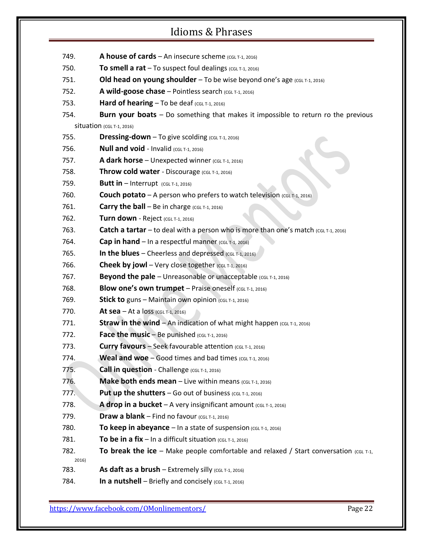- 749. **A house of cards** An insecure scheme  $(CGL T-1, 2016)$
- 750. **To smell a rat**  $-$  To suspect foul dealings (CGL T-1, 2016)
- 751. **Old head on young shoulder** To be wise beyond one's age (CGL T-1, 2016)
- 752. **A wild-goose chase** Pointless search (CGL T-1, 2016)
- 753. **Hard of hearing** To be deaf (CGL T-1, 2016)
- 754. **Burn your boats** Do something that makes it impossible to return ro the previous Situation (CGL T-1, 2016)
- 755. **Dressing-down** To give scolding  $(CGL T-1, 2016)$
- 756. **Null and void** Invalid (CGL T-1, 2016)
- 757. **A dark horse** Unexpected winner (CGL T-1, 2016)
- 758. **Throw cold water** Discourage (CGL T-1, 2016)
- 759. **Butt in** Interrupt (CGL T-1, 2016)
- 760. **Couch potato** A person who prefers to watch television ( $c_{GLT-1}$ , 2016)
- 761. **Carry the ball** Be in charge (CGL T-1, 2016)
- **762. Turn down** Reject (CGL T-1, 2016)
- 763. **Catch a tartar** to deal with a person who is more than one's match (CGL T-1, 2016)
- 764. **Cap in hand** In a respectful manner  $(cGLT-1, 2016)$
- **765. In the blues** Cheerless and depressed  $(\text{CGL T-1}, 2016)$
- 766. **Cheek by jowl** Very close together  $(CGL T-1, 2016)$
- 767. **Beyond the pale** Unreasonable or unacceptable (CGL T-1, 2016)
- 768. **Blow one's own trumpet** Praise oneself (CGL T-1, 2016)
- 769. **Stick to** guns Maintain own opinion  $(CGL T-1, 2016)$
- 770. **At sea** At a loss (CGL T-1, 2016)
- 771. **Straw in the wind** An indication of what might happen  $(CGLT-1, 2016)$
- 772. **Face the music** Be punished (CGL T-1, 2016)
- 773. **Curry favours** Seek favourable attention (CGL T-1, 2016)
- 774. **Weal and woe** Good times and bad times  $(CGL T-1, 2016)$
- 775. **Call in question** Challenge (CGL T-1, 2016)
- 776. **Make both ends mean** Live within means (CGL T-1, 2016)
- 777. **Put up the shutters** Go out of business (CGL T-1, 2016)
- 778. **A drop in a bucket** A very insignificant amount  $(CGL T-1, 2016)$
- 779. **Draw a blank** Find no favour  $(cGLT-1, 2016)$
- **780. To keep in abeyance** In a state of suspension  $(CGL T-1, 2016)$
- 781. **To be in a fix** In a difficult situation  $(CGL T-1, 2016)$
- **782. To break the ice** Make people comfortable and relaxed / Start conversation (CGL T-1, 2016)
- 783. **As daft as a brush** Extremely silly  $(CGL T-1, 2016)$
- 784. **In a nutshell** Briefly and concisely  $(CGL T-1, 2016)$